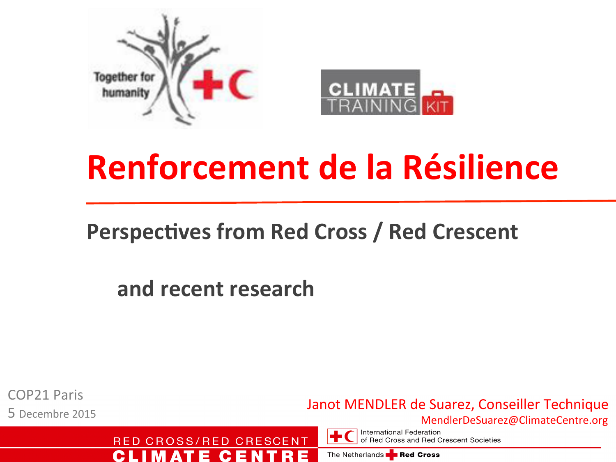

## **Renforcement de la Résilience**

### **Perspectives from Red Cross / Red Crescent**

and recent research

RED CROSS/RED CRESCENT

ᄇ

**COP21 Paris** 5 Decembre 2015

C.

Janot MENDLER de Suarez, Conseiller Technique

MendlerDeSuarez@ClimateCentre.org

**International Federation** of Red Cross and Red Crescent Societies

The Netherlands **Red Cross**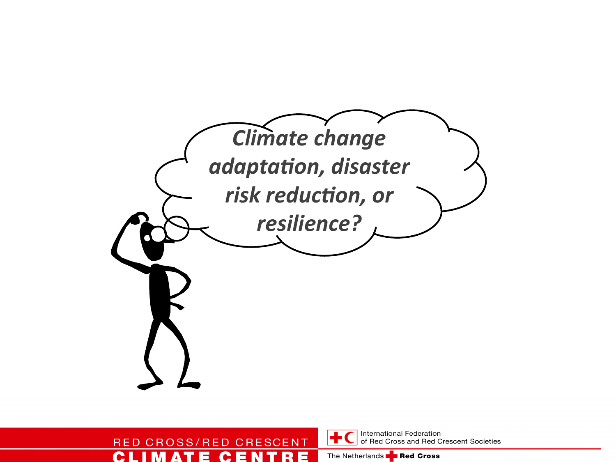

### RED CROSS/RED CRESCENT C I M **ATE CEN**

International Federation of Red Cross and Red Crescent Societies

The Netherlands **PE Red Cross**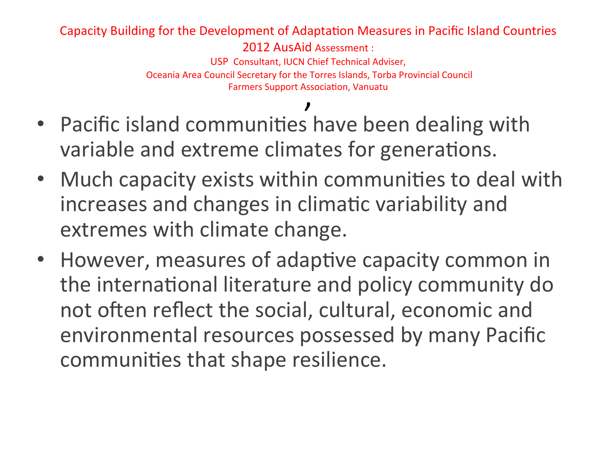### Capacity Building for the Development of Adaptation Measures in Pacific Island Countries

2012 AusAid Assessment:

USP Consultant, IUCN Chief Technical Adviser, Oceania Area Council Secretary for the Torres Islands, Torba Provincial Council Farmers Support Association, Vanuatu

- . Pacific island communities have been dealing with variable and extreme climates for generations.
- Much capacity exists within communities to deal with increases and changes in climatic variability and extremes with climate change.
- However, measures of adaptive capacity common in the international literature and policy community do not often reflect the social, cultural, economic and environmental resources possessed by many Pacific communities that shape resilience.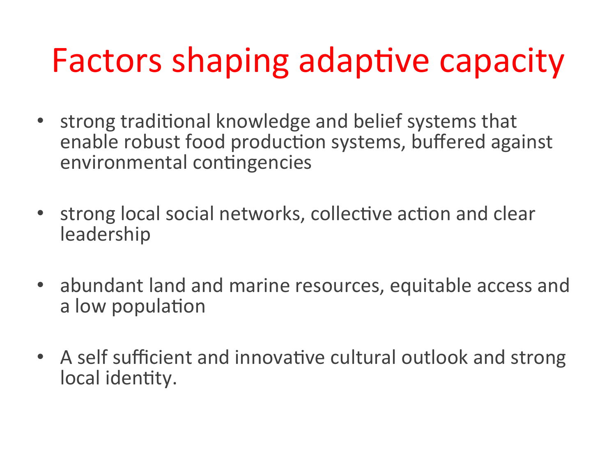# Factors shaping adaptive capacity

- strong traditional knowledge and belief systems that enable robust food production systems, buffered against environmental contingencies
- strong local social networks, collective action and clear **leadership**
- abundant land and marine resources, equitable access and a low population
- A self sufficient and innovative cultural outlook and strong local identity.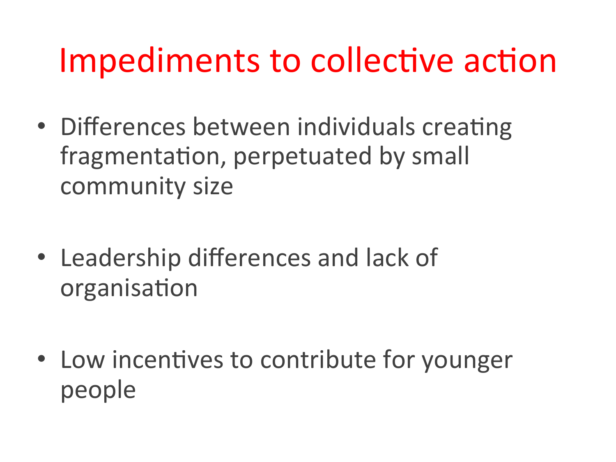## Impediments to collective action

- Differences between individuals creating fragmentation, perpetuated by small community size
- Leadership differences and lack of organisation
- Low incentives to contribute for younger people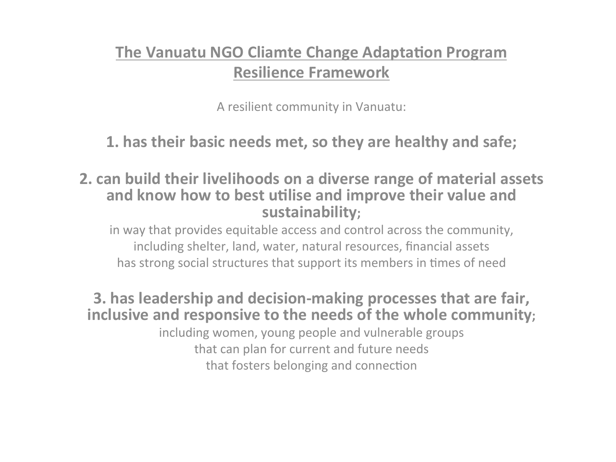### **The Vanuatu NGO Cliamte Change Adaptation Program Resilience!Framework**

A resilient community in Vanuatu:

**1. has their basic needs met, so they are healthy and safe;** 

**2. can build their livelihoods on a diverse range of material assets** and know how to best utilise and improve their value and sustainability;

in way that provides equitable access and control across the community, including shelter, land, water, natural resources, financial assets has strong social structures that support its members in times of need

**3. has leadership and decision-making processes that are fair,** inclusive and responsive to the needs of the whole community;

> including women, young people and vulnerable groups that can plan for current and future needs that fosters belonging and connection